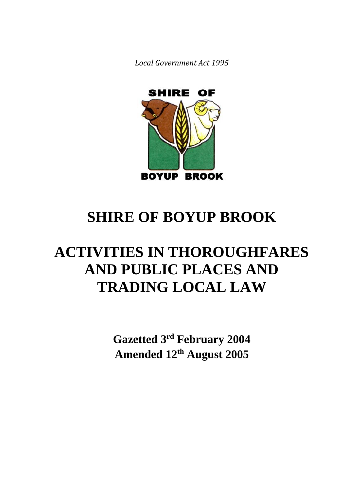*Local Government Act 1995*



# **SHIRE OF BOYUP BROOK**

# **ACTIVITIES IN THOROUGHFARES AND PUBLIC PLACES AND TRADING LOCAL LAW**

**Gazetted 3 rd February 2004 Amended 12th August 2005**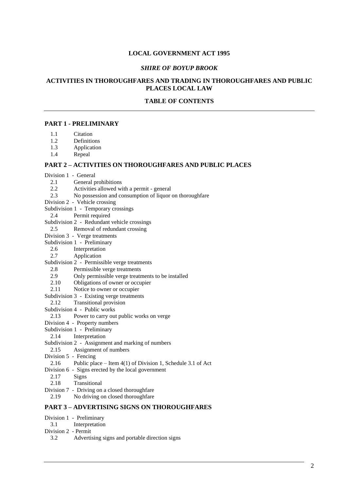#### **LOCAL GOVERNMENT ACT 1995**

#### *SHIRE OF BOYUP BROOK*

# **ACTIVITIES IN THOROUGHFARES AND TRADING IN THOROUGHFARES AND PUBLIC PLACES LOCAL LAW**

# **TABLE OF CONTENTS**

# **PART 1 - PRELIMINARY**

- 1.1 Citation<br>1.2 Definition
- **Definitions**
- 1.3 Application
- 1.4 Repeal

#### **PART 2 – ACTIVITIES ON THOROUGHFARES AND PUBLIC PLACES**

- Division 1 General
	- 2.1 General prohibitions<br>2.2 Activities allowed wi
	- Activities allowed with a permit general
	- 2.3 No possession and consumption of liquor on thoroughfare
- Division 2 Vehicle crossing
- Subdivision 1 Temporary crossings
- 2.4 Permit required
- Subdivision 2 Redundant vehicle crossings
- 2.5 Removal of redundant crossing
- Division 3 Verge treatments
- Subdivision 1 Preliminary
	- 2.6 Interpretation
	- 2.7 Application
- Subdivision 2 Permissible verge treatments
	- 2.8 Permissible verge treatments
	- 2.9 Only permissible verge treatments to be installed
	- 2.10 Obligations of owner or occupier
	- 2.11 Notice to owner or occupier
- Subdivision 3 Existing verge treatments
- 2.12 Transitional provision
- Subdivision 4 Public works
- 2.13 Power to carry out public works on verge
- Division 4 Property numbers
- Subdivision 1 Preliminary
- 2.14 Interpretation
- Subdivision 2 Assignment and marking of numbers
- 2.15 Assignment of numbers
- Division 5 Fencing
- 2.16 Public place Item 4(1) of Division 1, Schedule 3.1 of Act
- Division 6 Signs erected by the local government
- 2.17 Signs
- 2.18 Transitional
- Division 7 Driving on a closed thoroughfare
- 2.19 No driving on closed thoroughfare

### **PART 3 – ADVERTISING SIGNS ON THOROUGHFARES**

- Division 1 Preliminary
- 3.1 Interpretation
- Division 2 Permit
	- 3.2 Advertising signs and portable direction signs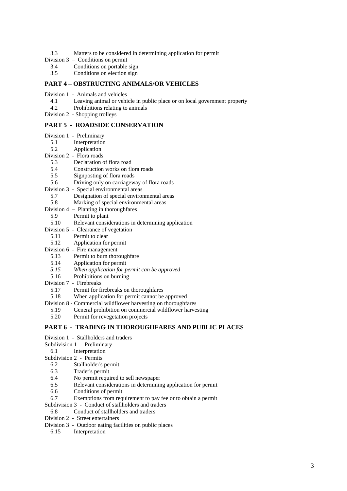- 3.3 Matters to be considered in determining application for permit<br>Division  $3 -$  Conditions on permit
- Conditions on permit
	- 3.4 Conditions on portable sign
	- 3.5 Conditions on election sign

#### **PART 4 – OBSTRUCTING ANIMALS/OR VEHICLES**

- Division 1 Animals and vehicles
	- 4.1 Leaving animal or vehicle in public place or on local government property
- 4.2 Prohibitions relating to animals
- Division 2 Shopping trolleys

# **PART 5 - ROADSIDE CONSERVATION**

- Division 1 Preliminary
	- 5.1 Interpretation
- 5.2 Application
- Division 2 Flora roads
	- 5.3 Declaration of flora road
	- 5.4 Construction works on flora roads
	- 5.5 Signposting of flora roads<br>5.6 Driving only on carriagew
	- 5.6 Driving only on carriageway of flora roads
- Division 3 Special environmental areas<br>5.7 Designation of special environ
	- 5.7 Designation of special environmental areas<br>5.8 Marking of special environmental areas
- Marking of special environmental areas
- Division 4 Planting in thoroughfares
	- 5.9 Permit to plant
- 5.10 Relevant considerations in determining application
- Division 5 Clearance of vegetation
	- 5.11 Permit to clear
	- 5.12 Application for permit
- Division 6 Fire management
	- 5.13 Permit to burn thoroughfare
	- 5.14 Application for permit
	- *5.15 When application for permit can be approved*
- 5.16 Prohibitions on burning
- Division 7 Firebreaks
	- 5.17 Permit for firebreaks on thoroughfares
	- 5.18 When application for permit cannot be approved
- Division 8 Commercial wildflower harvesting on thoroughfares
	- 5.19 General prohibition on commercial wildflower harvesting
- 5.20 Permit for revegetation projects

#### **PART 6 - TRADING IN THOROUGHFARES AND PUBLIC PLACES**

- Division 1 Stallholders and traders
- Subdivision 1 Preliminary
	- 6.1 Interpretation
- Subdivision 2 Permits
	- 6.2 Stallholder's permit
	- 6.3 Trader's permit
	- 6.4 No permit required to sell newspaper
	- 6.5 Relevant considerations in determining application for permit
	- 6.6 Conditions of permit
- 6.7 Exemptions from requirement to pay fee or to obtain a permit
- Subdivision 3 Conduct of stallholders and traders
	- 6.8 Conduct of stallholders and traders
- Division 2 Street entertainers
- Division 3 Outdoor eating facilities on public places
	- 6.15 Interpretation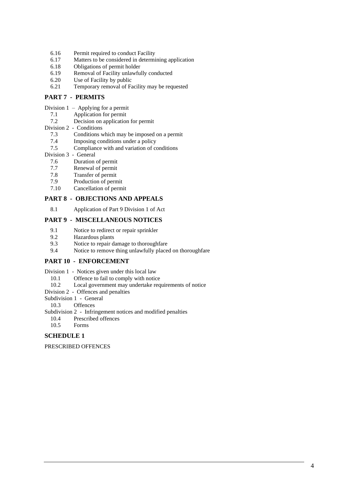- 6.16 Permit required to conduct Facility
- 6.17 Matters to be considered in determining application
- 6.18 Obligations of permit holder
- 6.19 Removal of Facility unlawfully conducted
- 6.20 Use of Facility by public
- 6.21 Temporary removal of Facility may be requested

#### **PART 7 - PERMITS**

- Division 1 Applying for a permit
	- 7.1 Application for permit
	- 7.2 Decision on application for permit
- Division 2 Conditions
	- 7.3 Conditions which may be imposed on a permit
	- 7.4 Imposing conditions under a policy
	- 7.5 Compliance with and variation of conditions
- Division 3 General
	- 7.6 Duration of permit
	- 7.7 Renewal of permit
	- 7.8 Transfer of permit
	- 7.9 Production of permit
	- 7.10 Cancellation of permit

#### **PART 8 - OBJECTIONS AND APPEALS**

8.1 Application of Part 9 Division 1 of Act

# **PART 9 - MISCELLANEOUS NOTICES**

- 9.1 Notice to redirect or repair sprinkler
- 9.2 Hazardous plants
- 9.3 Notice to repair damage to thoroughfare
- 9.4 Notice to remove thing unlawfully placed on thoroughfare

# **PART 10 - ENFORCEMENT**

- Division 1 Notices given under this local law
	- 10.1 Offence to fail to comply with notice
	- 10.2 Local government may undertake requirements of notice
- Division 2 Offences and penalties
- Subdivision 1 General

10.3 Offences

- Subdivision 2 Infringement notices and modified penalties
	- 10.4 Prescribed offences
- 10.5 Forms

#### **SCHEDULE 1**

PRESCRIBED OFFENCES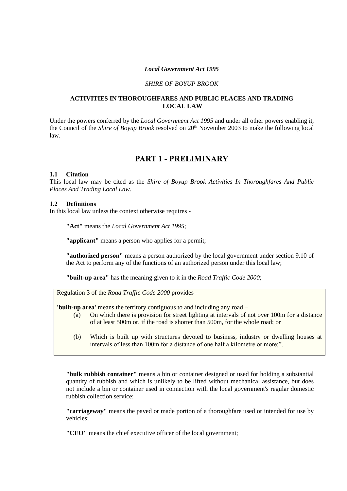#### *Local Government Act 1995*

#### *SHIRE OF BOYUP BROOK*

#### **ACTIVITIES IN THOROUGHFARES AND PUBLIC PLACES AND TRADING LOCAL LAW**

Under the powers conferred by the *Local Government Act 1995* and under all other powers enabling it, the Council of the *Shire of Boyup Brook* resolved on 20<sup>th</sup> November 2003 to make the following local law.

# **PART 1 - PRELIMINARY**

#### **1.1 Citation**

This local law may be cited as the *Shire of Boyup Brook Activities In Thoroughfares And Public Places And Trading Local Law.*

#### **1.2 Definitions**

In this local law unless the context otherwise requires -

**"Act"** means the *Local Government Act 1995*;

**"applicant"** means a person who applies for a permit;

**"authorized person"** means a person authorized by the local government under section 9.10 of the Act to perform any of the functions of an authorized person under this local law;

**"built-up area"** has the meaning given to it in the *Road Traffic Code 2000*;

Regulation 3 of the *Road Traffic Code 2000* provides –

**'built-up area'** means the territory contiguous to and including any road –

- (a) On which there is provision for street lighting at intervals of not over 100m for a distance of at least 500m or, if the road is shorter than 500m, for the whole road; or
- (b) Which is built up with structures devoted to business, industry or dwelling houses at intervals of less than 100m for a distance of one half a kilometre or more;".

**"bulk rubbish container"** means a bin or container designed or used for holding a substantial quantity of rubbish and which is unlikely to be lifted without mechanical assistance, but does not include a bin or container used in connection with the local government's regular domestic rubbish collection service;

**"carriageway"** means the paved or made portion of a thoroughfare used or intended for use by vehicles;

**"CEO"** means the chief executive officer of the local government;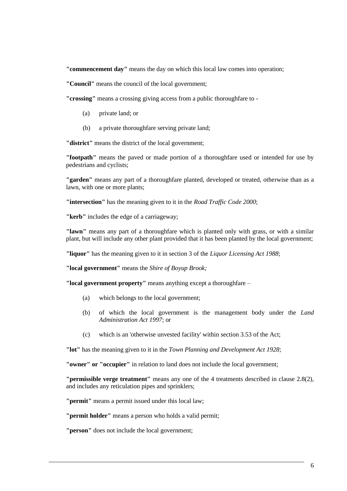**"commencement day"** means the day on which this local law comes into operation;

**"Council"** means the council of the local government;

**"crossing"** means a crossing giving access from a public thoroughfare to -

- (a) private land; or
- (b) a private thoroughfare serving private land;

**"district"** means the district of the local government;

**"footpath"** means the paved or made portion of a thoroughfare used or intended for use by pedestrians and cyclists;

**"garden"** means any part of a thoroughfare planted, developed or treated, otherwise than as a lawn, with one or more plants;

**"intersection"** has the meaning given to it in the *Road Traffic Code 2000*;

**"kerb"** includes the edge of a carriageway;

**"lawn"** means any part of a thoroughfare which is planted only with grass, or with a similar plant, but will include any other plant provided that it has been planted by the local government;

**"liquor"** has the meaning given to it in section 3 of the *Liquor Licensing Act 1988*;

**"local government"** means the *Shire of Boyup Brook;*

**"local government property"** means anything except a thoroughfare –

- (a) which belongs to the local government;
- (b) of which the local government is the management body under the *Land Administration Act 1997*; or
- (c) which is an 'otherwise unvested facility' within section 3.53 of the Act;

**"lot"** has the meaning given to it in the *Town Planning and Development Act 1928*;

**"owner" or "occupier"** in relation to land does not include the local government;

**"permissible verge treatment"** means any one of the 4 treatments described in clause 2.8(2), and includes any reticulation pipes and sprinklers;

**"permit"** means a permit issued under this local law;

**"permit holder"** means a person who holds a valid permit;

**"person"** does not include the local government;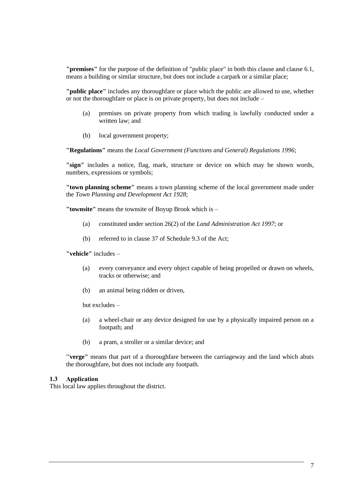**"premises"** for the purpose of the definition of "public place" in both this clause and clause 6.1, means a building or similar structure, but does not include a carpark or a similar place;

**"public place"** includes any thoroughfare or place which the public are allowed to use, whether or not the thoroughfare or place is on private property, but does not include –

- (a) premises on private property from which trading is lawfully conducted under a written law; and
- (b) local government property;

**"Regulations"** means the *Local Government (Functions and General) Regulations 1996*;

**"sign"** includes a notice, flag, mark, structure or device on which may be shown words, numbers, expressions or symbols;

**"town planning scheme"** means a town planning scheme of the local government made under the *Town Planning and Development Act 1928*;

**"townsite"** means the townsite of Boyup Brook which is –

- (a) constituted under section 26(2) of the *Land Administration Act 1997*; or
- (b) referred to in clause 37 of Schedule 9.3 of the Act;

**"vehicle"** includes –

- (a) every conveyance and every object capable of being propelled or drawn on wheels, tracks or otherwise; and
- (b) an animal being ridden or driven,

but excludes –

- (a) a wheel-chair or any device designed for use by a physically impaired person on a footpath; and
- (b) a pram, a stroller or a similar device; and

**''verge"** means that part of a thoroughfare between the carriageway and the land which abuts the thoroughfare, but does not include any footpath.

#### **1.3 Application**

This local law applies throughout the district.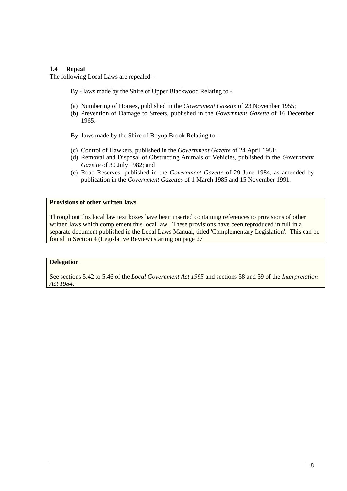# **1.4 Repeal**

The following Local Laws are repealed –

By - laws made by the Shire of Upper Blackwood Relating to -

- (a) Numbering of Houses, published in the *Government Gazette* of 23 November 1955;
- (b) Prevention of Damage to Streets, published in the *Government Gazette* of 16 December 1965.
- By -laws made by the Shire of Boyup Brook Relating to -
- (c) Control of Hawkers, published in the *Government Gazette* of 24 April 1981;
- (d) Removal and Disposal of Obstructing Animals or Vehicles, published in the *Government Gazette* of 30 July 1982; and
- (e) Road Reserves, published in the *Government Gazette* of 29 June 1984, as amended by publication in the *Government Gazettes* of 1 March 1985 and 15 November 1991.

# **Provisions of other written laws**

Throughout this local law text boxes have been inserted containing references to provisions of other written laws which complement this local law. These provisions have been reproduced in full in a separate document published in the Local Laws Manual, titled 'Complementary Legislation'. This can be found in Section 4 (Legislative Review) starting on page 27

# **Delegation**

See sections 5.42 to 5.46 of the *Local Government Act 1995* and sections 58 and 59 of the *Interpretation Act 1984*.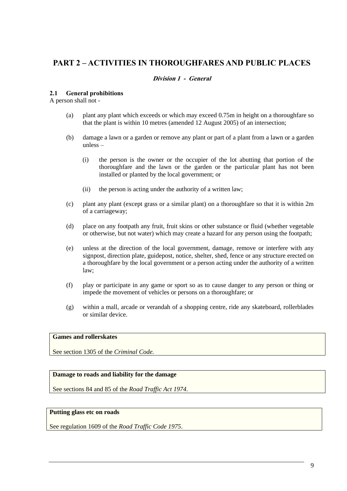# **PART 2 – ACTIVITIES IN THOROUGHFARES AND PUBLIC PLACES**

# **Division 1 - General**

#### **2.1 General prohibitions**

A person shall not -

- (a) plant any plant which exceeds or which may exceed 0.75m in height on a thoroughfare so that the plant is within 10 metres (amended 12 August 2005) of an intersection;
- (b) damage a lawn or a garden or remove any plant or part of a plant from a lawn or a garden unless –
	- (i) the person is the owner or the occupier of the lot abutting that portion of the thoroughfare and the lawn or the garden or the particular plant has not been installed or planted by the local government; or
	- (ii) the person is acting under the authority of a written law;
- (c) plant any plant (except grass or a similar plant) on a thoroughfare so that it is within 2m of a carriageway;
- (d) place on any footpath any fruit, fruit skins or other substance or fluid (whether vegetable or otherwise, but not water) which may create a hazard for any person using the footpath;
- (e) unless at the direction of the local government, damage, remove or interfere with any signpost, direction plate, guidepost, notice, shelter, shed, fence or any structure erected on a thoroughfare by the local government or a person acting under the authority of a written law;
- (f) play or participate in any game or sport so as to cause danger to any person or thing or impede the movement of vehicles or persons on a thoroughfare; or
- (g) within a mall, arcade or verandah of a shopping centre, ride any skateboard, rollerblades or similar device.

#### **Games and rollerskates**

See section 1305 of the *Criminal Code.*

#### **Damage to roads and liability for the damage**

See sections 84 and 85 of the *Road Traffic Act 1974*.

# **Putting glass etc on roads**

See regulation 1609 of the *Road Traffic Code 1975*.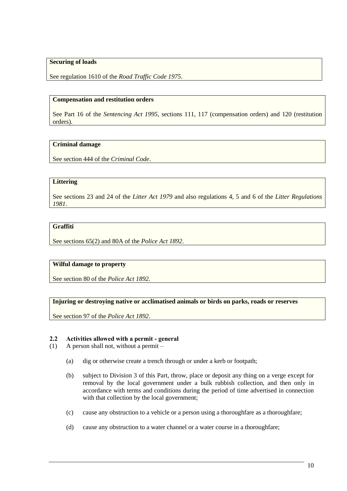# **Securing of loads**

See regulation 1610 of the *Road Traffic Code 1975*.

### **Compensation and restitution orders**

See Part 16 of the *Sentencing Act 1995*, sections 111, 117 (compensation orders) and 120 (restitution orders).

# **Criminal damage**

See section 444 of the *Criminal Code*.

#### **Littering**

See sections 23 and 24 of the *Litter Act 1979* and also regulations 4, 5 and 6 of the *Litter Regulations 1981*.

# **Graffiti**

See sections 65(2) and 80A of the *Police Act 1892*.

# **Wilful damage to property**

See section 80 of the *Police Act 1892*.

#### **Injuring or destroying native or acclimatised animals or birds on parks, roads or reserves**

See section 97 of the *Police Act 1892*.

#### **2.2 Activities allowed with a permit - general**

- (1) A person shall not, without a permit
	- (a) dig or otherwise create a trench through or under a kerb or footpath;
	- (b) subject to Division 3 of this Part, throw, place or deposit any thing on a verge except for removal by the local government under a bulk rubbish collection, and then only in accordance with terms and conditions during the period of time advertised in connection with that collection by the local government;
	- (c) cause any obstruction to a vehicle or a person using a thoroughfare as a thoroughfare;
	- (d) cause any obstruction to a water channel or a water course in a thoroughfare;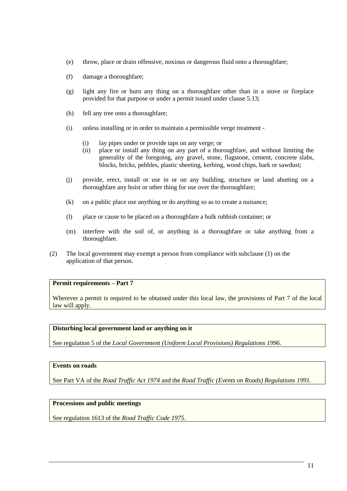- (e) throw, place or drain offensive, noxious or dangerous fluid onto a thoroughfare;
- (f) damage a thoroughfare;
- (g) light any fire or burn any thing on a thoroughfare other than in a stove or fireplace provided for that purpose or under a permit issued under clause 5.13;
- (h) fell any tree onto a thoroughfare;
- (i) unless installing or in order to maintain a permissible verge treatment
	- (i) lay pipes under or provide taps on any verge; or
	- (ii) place or install any thing on any part of a thoroughfare, and without limiting the generality of the foregoing, any gravel, stone, flagstone, cement, concrete slabs, blocks, bricks, pebbles, plastic sheeting, kerbing, wood chips, bark or sawdust;
- (j) provide, erect, install or use in or on any building, structure or land abutting on a thoroughfare any hoist or other thing for use over the thoroughfare;
- (k) on a public place use anything or do anything so as to create a nuisance;
- (l) place or cause to be placed on a thoroughfare a bulk rubbish container; or
- (m) interfere with the soil of, or anything in a thoroughfare or take anything from a thoroughfare.
- (2) The local government may exempt a person from compliance with subclause (1) on the application of that person.

# **Permit requirements – Part 7**

Wherever a permit is required to be obtained under this local law, the provisions of Part 7 of the local law will apply.

# **Disturbing local government land or anything on it**

See regulation 5 of the *Local Government (Uniform Local Provisions) Regulations 1996*.

# **Events on roads**

See Part VA of the *Road Traffic Act 1974* and the *Road Traffic (Events on Roads) Regulations 1991.*

# **Processions and public meetings**

See regulation 1613 of the *Road Traffic Code 1975*.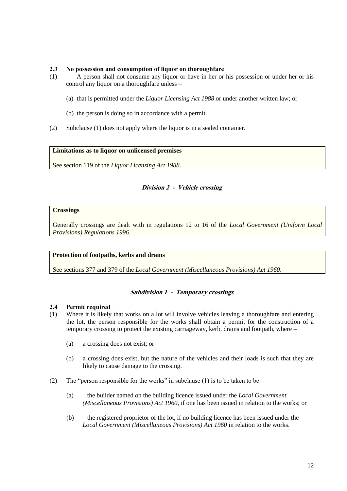# **2.3 No possession and consumption of liquor on thoroughfare**

- (1) A person shall not consume any liquor or have in her or his possession or under her or his control any liquor on a thoroughfare unless –
	- (a) that is permitted under the *Liquor Licensing Act 1988* or under another written law; or
	- (b) the person is doing so in accordance with a permit.
- (2) Subclause (1) does not apply where the liquor is in a sealed container.

# **Limitations as to liquor on unlicensed premises**

See section 119 of the *Liquor Licensing Act 1988*.

# **Division 2 - Vehicle crossing**

# **Crossings**

Generally crossings are dealt with in regulations 12 to 16 of the *Local Government (Uniform Local Provisions) Regulations 1996*.

#### **Protection of footpaths, kerbs and drains**

See sections 377 and 379 of the *Local Government (Miscellaneous Provisions) Act 1960*.

# **Subdivision 1 - Temporary crossings**

#### **2.4 Permit required**

- (1) Where it is likely that works on a lot will involve vehicles leaving a thoroughfare and entering the lot, the person responsible for the works shall obtain a permit for the construction of a temporary crossing to protect the existing carriageway, kerb, drains and footpath, where –
	- (a) a crossing does not exist; or
	- (b) a crossing does exist, but the nature of the vehicles and their loads is such that they are likely to cause damage to the crossing.
- (2) The "person responsible for the works" in subclause (1) is to be taken to be
	- (a) the builder named on the building licence issued under the *Local Government (Miscellaneous Provisions) Act 1960*, if one has been issued in relation to the works; or
	- (b) the registered proprietor of the lot, if no building licence has been issued under the *Local Government (Miscellaneous Provisions) Act 1960* in relation to the works.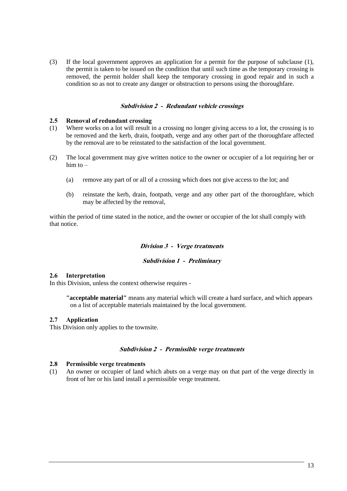(3) If the local government approves an application for a permit for the purpose of subclause (1), the permit is taken to be issued on the condition that until such time as the temporary crossing is removed, the permit holder shall keep the temporary crossing in good repair and in such a condition so as not to create any danger or obstruction to persons using the thoroughfare.

#### **Subdivision 2 - Redundant vehicle crossings**

#### **2.5 Removal of redundant crossing**

- (1) Where works on a lot will result in a crossing no longer giving access to a lot, the crossing is to be removed and the kerb, drain, footpath, verge and any other part of the thoroughfare affected by the removal are to be reinstated to the satisfaction of the local government.
- (2) The local government may give written notice to the owner or occupier of a lot requiring her or him to  $-$ 
	- (a) remove any part of or all of a crossing which does not give access to the lot; and
	- (b) reinstate the kerb, drain, footpath, verge and any other part of the thoroughfare, which may be affected by the removal,

within the period of time stated in the notice, and the owner or occupier of the lot shall comply with that notice.

#### **Division 3 - Verge treatments**

#### **Subdivision 1 - Preliminary**

#### **2.6 Interpretation**

In this Division, unless the context otherwise requires -

**"acceptable material"** means any material which will create a hard surface, and which appears on a list of acceptable materials maintained by the local government.

#### **2.7 Application**

This Division only applies to the townsite.

#### **Subdivision 2 - Permissible verge treatments**

#### **2.8 Permissible verge treatments**

(1) An owner or occupier of land which abuts on a verge may on that part of the verge directly in front of her or his land install a permissible verge treatment.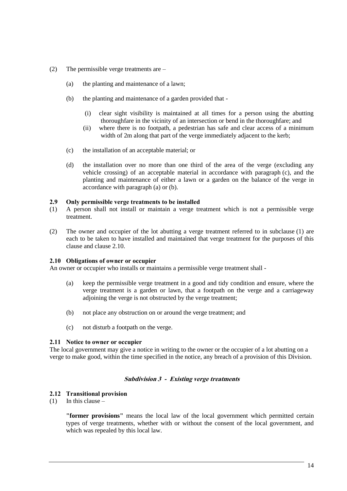- (2) The permissible verge treatments are
	- (a) the planting and maintenance of a lawn;
	- (b) the planting and maintenance of a garden provided that
		- (i) clear sight visibility is maintained at all times for a person using the abutting thoroughfare in the vicinity of an intersection or bend in the thoroughfare; and
		- (ii) where there is no footpath, a pedestrian has safe and clear access of a minimum width of 2m along that part of the verge immediately adjacent to the kerb;
	- (c) the installation of an acceptable material; or
	- (d) the installation over no more than one third of the area of the verge (excluding any vehicle crossing) of an acceptable material in accordance with paragraph (c), and the planting and maintenance of either a lawn or a garden on the balance of the verge in accordance with paragraph (a) or (b).

#### **2.9 Only permissible verge treatments to be installed**

- (1) A person shall not install or maintain a verge treatment which is not a permissible verge treatment.
- (2) The owner and occupier of the lot abutting a verge treatment referred to in subclause (1) are each to be taken to have installed and maintained that verge treatment for the purposes of this clause and clause 2.10.

#### **2.10 Obligations of owner or occupier**

An owner or occupier who installs or maintains a permissible verge treatment shall -

- (a) keep the permissible verge treatment in a good and tidy condition and ensure, where the verge treatment is a garden or lawn, that a footpath on the verge and a carriageway adjoining the verge is not obstructed by the verge treatment;
- (b) not place any obstruction on or around the verge treatment; and
- (c) not disturb a footpath on the verge.

#### **2.11 Notice to owner or occupier**

The local government may give a notice in writing to the owner or the occupier of a lot abutting on a verge to make good, within the time specified in the notice, any breach of a provision of this Division.

#### **Subdivision 3 - Existing verge treatments**

#### **2.12 Transitional provision**

 $(1)$  In this clause –

**"former provisions"** means the local law of the local government which permitted certain types of verge treatments, whether with or without the consent of the local government, and which was repealed by this local law.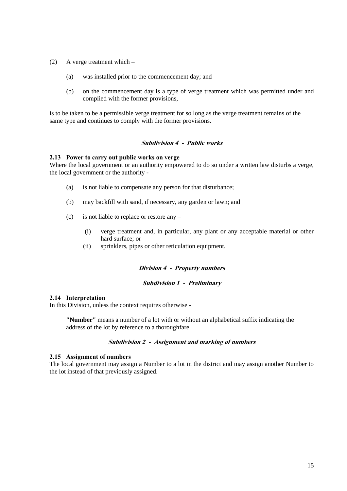- (2) A verge treatment which
	- (a) was installed prior to the commencement day; and
	- (b) on the commencement day is a type of verge treatment which was permitted under and complied with the former provisions,

is to be taken to be a permissible verge treatment for so long as the verge treatment remains of the same type and continues to comply with the former provisions.

#### **Subdivision 4 - Public works**

#### **2.13 Power to carry out public works on verge**

Where the local government or an authority empowered to do so under a written law disturbs a verge, the local government or the authority -

- (a) is not liable to compensate any person for that disturbance;
- (b) may backfill with sand, if necessary, any garden or lawn; and
- (c) is not liable to replace or restore any
	- (i) verge treatment and, in particular, any plant or any acceptable material or other hard surface; or
	- (ii) sprinklers, pipes or other reticulation equipment.

#### **Division 4 - Property numbers**

#### **Subdivision 1 - Preliminary**

### **2.14 Interpretation**

In this Division, unless the context requires otherwise -

**"Number"** means a number of a lot with or without an alphabetical suffix indicating the address of the lot by reference to a thoroughfare.

#### **Subdivision 2 - Assignment and marking of numbers**

#### **2.15 Assignment of numbers**

The local government may assign a Number to a lot in the district and may assign another Number to the lot instead of that previously assigned.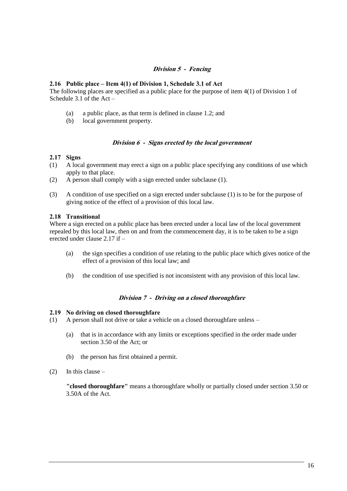# **Division 5 - Fencing**

#### **2.16 Public place – Item 4(1) of Division 1, Schedule 3.1 of Act**

The following places are specified as a public place for the purpose of item 4(1) of Division 1 of Schedule 3.1 of the Act –

- (a) a public place, as that term is defined in clause 1.2; and
- (b) local government property.

#### **Division 6 - Signs erected by the local government**

# **2.17 Signs**

- (1) A local government may erect a sign on a public place specifying any conditions of use which apply to that place.
- (2) A person shall comply with a sign erected under subclause (1).
- (3) A condition of use specified on a sign erected under subclause (1) is to be for the purpose of giving notice of the effect of a provision of this local law.

# **2.18 Transitional**

Where a sign erected on a public place has been erected under a local law of the local government repealed by this local law, then on and from the commencement day, it is to be taken to be a sign erected under clause 2.17 if –

- (a) the sign specifies a condition of use relating to the public place which gives notice of the effect of a provision of this local law; and
- (b) the condition of use specified is not inconsistent with any provision of this local law.

# **Division 7 - Driving on a closed thoroughfare**

#### **2.19 No driving on closed thoroughfare**

- (1) A person shall not drive or take a vehicle on a closed thoroughfare unless
	- (a) that is in accordance with any limits or exceptions specified in the order made under section 3.50 of the Act; or
	- (b) the person has first obtained a permit.
- $(2)$  In this clause –

**"closed thoroughfare"** means a thoroughfare wholly or partially closed under section 3.50 or 3.50A of the Act.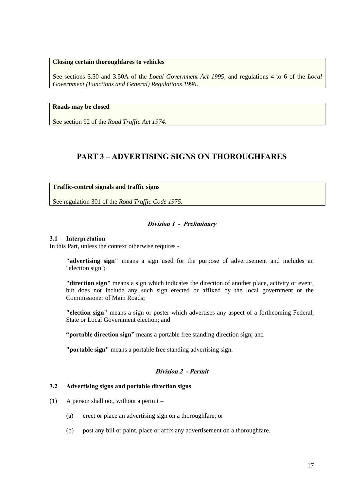### **Closing certain thoroughfares to vehicles**

See sections 3.50 and 3.50A of the *Local Government Act 1995*, and regulations 4 to 6 of the *Local Government (Functions and General) Regulations 1996*.

# **Roads may be closed**

See section 92 of the *Road Traffic Act 1974*.

# **PART 3 – ADVERTISING SIGNS ON THOROUGHFARES**

# **Traffic-control signals and traffic signs**

See regulation 301 of the *Road Traffic Code 1975.*

# **Division 1 - Preliminary**

#### **3.1 Interpretation**

In this Part, unless the context otherwise requires -

**"advertising sign"** means a sign used for the purpose of advertisement and includes an "election sign";

**"direction sign"** means a sign which indicates the direction of another place, activity or event, but does not include any such sign erected or affixed by the local government or the Commissioner of Main Roads;

**"election sign"** means a sign or poster which advertises any aspect of a forthcoming Federal, State or Local Government election; and

**"portable direction sign"** means a portable free standing direction sign; and

**"portable sign"** means a portable free standing advertising sign.

# **Division 2 - Permit**

# **3.2 Advertising signs and portable direction signs**

- (1) A person shall not, without a permit
	- (a) erect or place an advertising sign on a thoroughfare; or
	- (b) post any bill or paint, place or affix any advertisement on a thoroughfare.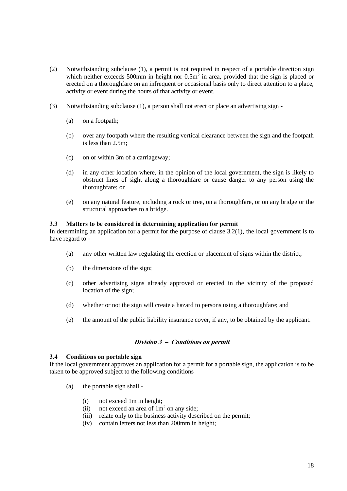- (2) Notwithstanding subclause (1), a permit is not required in respect of a portable direction sign which neither exceeds 500mm in height nor  $0.5m<sup>2</sup>$  in area, provided that the sign is placed or erected on a thoroughfare on an infrequent or occasional basis only to direct attention to a place, activity or event during the hours of that activity or event.
- (3) Notwithstanding subclause (1), a person shall not erect or place an advertising sign
	- (a) on a footpath;
	- (b) over any footpath where the resulting vertical clearance between the sign and the footpath is less than 2.5m;
	- (c) on or within 3m of a carriageway;
	- (d) in any other location where, in the opinion of the local government, the sign is likely to obstruct lines of sight along a thoroughfare or cause danger to any person using the thoroughfare; or
	- (e) on any natural feature, including a rock or tree, on a thoroughfare, or on any bridge or the structural approaches to a bridge.

#### **3.3 Matters to be considered in determining application for permit**

In determining an application for a permit for the purpose of clause 3.2(1), the local government is to have regard to -

- (a) any other written law regulating the erection or placement of signs within the district;
- (b) the dimensions of the sign;
- (c) other advertising signs already approved or erected in the vicinity of the proposed location of the sign;
- (d) whether or not the sign will create a hazard to persons using a thoroughfare; and
- (e) the amount of the public liability insurance cover, if any, to be obtained by the applicant.

#### **Division 3 – Conditions on permit**

#### **3.4 Conditions on portable sign**

If the local government approves an application for a permit for a portable sign, the application is to be taken to be approved subject to the following conditions –

- (a) the portable sign shall
	- (i) not exceed 1m in height;
	- (ii) not exceed an area of  $1m<sup>2</sup>$  on any side;
	- (iii) relate only to the business activity described on the permit;
	- (iv) contain letters not less than 200mm in height;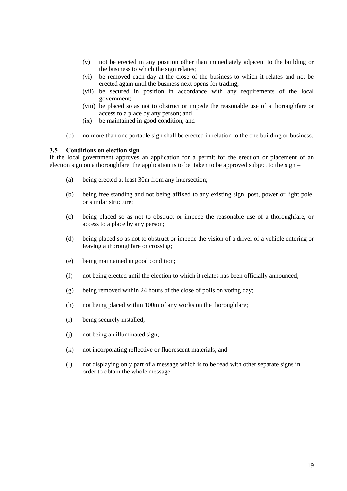- (v) not be erected in any position other than immediately adjacent to the building or the business to which the sign relates;
- (vi) be removed each day at the close of the business to which it relates and not be erected again until the business next opens for trading;
- (vii) be secured in position in accordance with any requirements of the local government;
- (viii) be placed so as not to obstruct or impede the reasonable use of a thoroughfare or access to a place by any person; and
- (ix) be maintained in good condition; and
- (b) no more than one portable sign shall be erected in relation to the one building or business.

#### **3.5 Conditions on election sign**

If the local government approves an application for a permit for the erection or placement of an election sign on a thoroughfare, the application is to be taken to be approved subject to the sign –

- (a) being erected at least 30m from any intersection;
- (b) being free standing and not being affixed to any existing sign, post, power or light pole, or similar structure;
- (c) being placed so as not to obstruct or impede the reasonable use of a thoroughfare, or access to a place by any person;
- (d) being placed so as not to obstruct or impede the vision of a driver of a vehicle entering or leaving a thoroughfare or crossing;
- (e) being maintained in good condition;
- (f) not being erected until the election to which it relates has been officially announced;
- (g) being removed within 24 hours of the close of polls on voting day;
- (h) not being placed within 100m of any works on the thoroughfare;
- (i) being securely installed;
- (j) not being an illuminated sign;
- (k) not incorporating reflective or fluorescent materials; and
- (l) not displaying only part of a message which is to be read with other separate signs in order to obtain the whole message.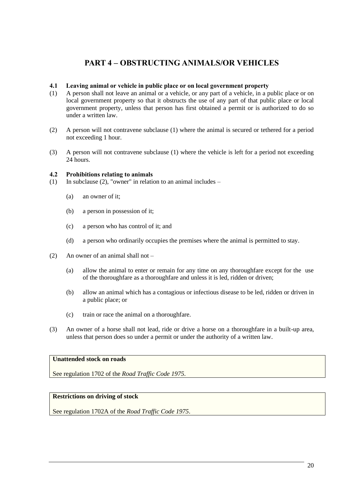# **PART 4 – OBSTRUCTING ANIMALS/OR VEHICLES**

# **4.1 Leaving animal or vehicle in public place or on local government property**

- (1) A person shall not leave an animal or a vehicle, or any part of a vehicle, in a public place or on local government property so that it obstructs the use of any part of that public place or local government property, unless that person has first obtained a permit or is authorized to do so under a written law.
- (2) A person will not contravene subclause (1) where the animal is secured or tethered for a period not exceeding 1 hour.
- (3) A person will not contravene subclause (1) where the vehicle is left for a period not exceeding 24 hours.

#### **4.2 Prohibitions relating to animals**

- (1) In subclause (2), "owner" in relation to an animal includes
	- (a) an owner of it;
	- (b) a person in possession of it;
	- (c) a person who has control of it; and
	- (d) a person who ordinarily occupies the premises where the animal is permitted to stay.
- (2) An owner of an animal shall not
	- (a) allow the animal to enter or remain for any time on any thoroughfare except for the use of the thoroughfare as a thoroughfare and unless it is led, ridden or driven;
	- (b) allow an animal which has a contagious or infectious disease to be led, ridden or driven in a public place; or
	- (c) train or race the animal on a thoroughfare.
- (3) An owner of a horse shall not lead, ride or drive a horse on a thoroughfare in a built-up area, unless that person does so under a permit or under the authority of a written law.

# **Unattended stock on roads**

See regulation 1702 of the *Road Traffic Code 1975*.

# **Restrictions on driving of stock**

See regulation 1702A of the *Road Traffic Code 1975*.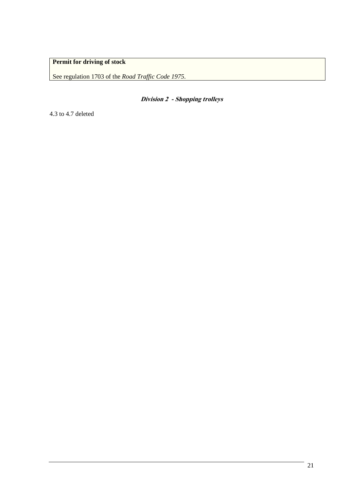# **Permit for driving of stock**

See regulation 1703 of the *Road Traffic Code 1975*.

**Division 2 - Shopping trolleys**

4.3 to 4.7 deleted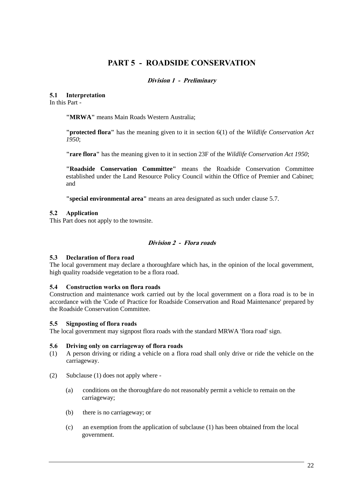# **PART 5 - ROADSIDE CONSERVATION**

# **Division 1 - Preliminary**

# **5.1 Interpretation**

In this Part -

**"MRWA"** means Main Roads Western Australia;

**"protected flora"** has the meaning given to it in section 6(1) of the *Wildlife Conservation Act 1950*;

**"rare flora"** has the meaning given to it in section 23F of the *Wildlife Conservation Act 1950*;

**"Roadside Conservation Committee"** means the Roadside Conservation Committee established under the Land Resource Policy Council within the Office of Premier and Cabinet; and

**"special environmental area"** means an area designated as such under clause 5.7.

# **5.2 Application**

This Part does not apply to the townsite.

# **Division 2 - Flora roads**

#### **5.3 Declaration of flora road**

The local government may declare a thoroughfare which has, in the opinion of the local government, high quality roadside vegetation to be a flora road.

#### **5.4 Construction works on flora roads**

Construction and maintenance work carried out by the local government on a flora road is to be in accordance with the 'Code of Practice for Roadside Conservation and Road Maintenance' prepared by the Roadside Conservation Committee.

#### **5.5 Signposting of flora roads**

The local government may signpost flora roads with the standard MRWA 'flora road' sign.

#### **5.6 Driving only on carriageway of flora roads**

- (1) A person driving or riding a vehicle on a flora road shall only drive or ride the vehicle on the carriageway.
- (2) Subclause (1) does not apply where
	- (a) conditions on the thoroughfare do not reasonably permit a vehicle to remain on the carriageway;
	- (b) there is no carriageway; or
	- (c) an exemption from the application of subclause (1) has been obtained from the local government.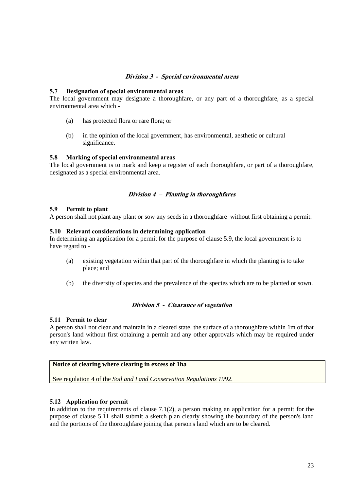# **Division 3 - Special environmental areas**

#### **5.7 Designation of special environmental areas**

The local government may designate a thoroughfare, or any part of a thoroughfare, as a special environmental area which -

- (a) has protected flora or rare flora; or
- (b) in the opinion of the local government, has environmental, aesthetic or cultural significance.

#### **5.8 Marking of special environmental areas**

The local government is to mark and keep a register of each thoroughfare, or part of a thoroughfare, designated as a special environmental area.

#### **Division 4 – Planting in thoroughfares**

#### **5.9 Permit to plant**

A person shall not plant any plant or sow any seeds in a thoroughfare without first obtaining a permit.

#### **5.10 Relevant considerations in determining application**

In determining an application for a permit for the purpose of clause 5.9, the local government is to have regard to -

- (a) existing vegetation within that part of the thoroughfare in which the planting is to take place; and
- (b) the diversity of species and the prevalence of the species which are to be planted or sown.

### **Division 5 - Clearance of vegetation**

#### **5.11 Permit to clear**

A person shall not clear and maintain in a cleared state, the surface of a thoroughfare within 1m of that person's land without first obtaining a permit and any other approvals which may be required under any written law.

#### **Notice of clearing where clearing in excess of 1ha**

See regulation 4 of the *Soil and Land Conservation Regulations 1992*.

#### **5.12 Application for permit**

In addition to the requirements of clause  $7.1(2)$ , a person making an application for a permit for the purpose of clause 5.11 shall submit a sketch plan clearly showing the boundary of the person's land and the portions of the thoroughfare joining that person's land which are to be cleared.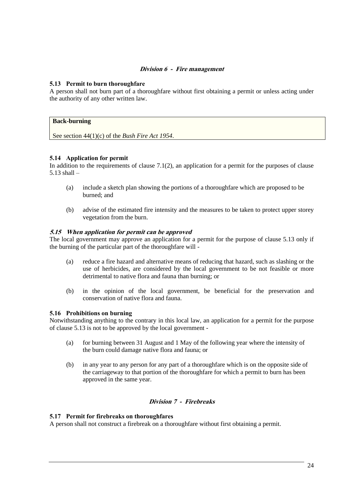# **Division 6 - Fire management**

# **5.13 Permit to burn thoroughfare**

A person shall not burn part of a thoroughfare without first obtaining a permit or unless acting under the authority of any other written law.

# **Back-burning**

See section 44(1)(c) of the *Bush Fire Act 1954*.

# **5.14 Application for permit**

In addition to the requirements of clause  $7.1(2)$ , an application for a permit for the purposes of clause 5.13 shall –

- (a) include a sketch plan showing the portions of a thoroughfare which are proposed to be burned; and
- (b) advise of the estimated fire intensity and the measures to be taken to protect upper storey vegetation from the burn.

#### **5.15 When application for permit can be approved**

The local government may approve an application for a permit for the purpose of clause 5.13 only if the burning of the particular part of the thoroughfare will -

- (a) reduce a fire hazard and alternative means of reducing that hazard, such as slashing or the use of herbicides, are considered by the local government to be not feasible or more detrimental to native flora and fauna than burning; or
- (b) in the opinion of the local government, be beneficial for the preservation and conservation of native flora and fauna.

#### **5.16 Prohibitions on burning**

Notwithstanding anything to the contrary in this local law, an application for a permit for the purpose of clause 5.13 is not to be approved by the local government -

- (a) for burning between 31 August and 1 May of the following year where the intensity of the burn could damage native flora and fauna; or
- (b) in any year to any person for any part of a thoroughfare which is on the opposite side of the carriageway to that portion of the thoroughfare for which a permit to burn has been approved in the same year.

# **Division 7 - Firebreaks**

#### **5.17 Permit for firebreaks on thoroughfares**

A person shall not construct a firebreak on a thoroughfare without first obtaining a permit.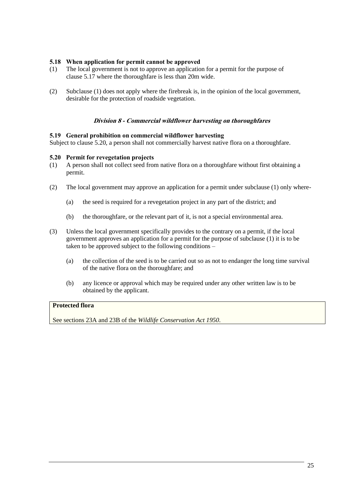# **5.18 When application for permit cannot be approved**

- (1) The local government is not to approve an application for a permit for the purpose of clause 5.17 where the thoroughfare is less than 20m wide.
- (2) Subclause (1) does not apply where the firebreak is, in the opinion of the local government, desirable for the protection of roadside vegetation.

#### **Division 8 - Commercial wildflower harvesting on thoroughfares**

#### **5.19 General prohibition on commercial wildflower harvesting**

Subject to clause 5.20, a person shall not commercially harvest native flora on a thoroughfare.

#### **5.20 Permit for revegetation projects**

- (1) A person shall not collect seed from native flora on a thoroughfare without first obtaining a permit.
- (2) The local government may approve an application for a permit under subclause (1) only where-
	- (a) the seed is required for a revegetation project in any part of the district; and
	- (b) the thoroughfare, or the relevant part of it, is not a special environmental area.
- (3) Unless the local government specifically provides to the contrary on a permit, if the local government approves an application for a permit for the purpose of subclause (1) it is to be taken to be approved subject to the following conditions –
	- (a) the collection of the seed is to be carried out so as not to endanger the long time survival of the native flora on the thoroughfare; and
	- (b) any licence or approval which may be required under any other written law is to be obtained by the applicant.

# **Protected flora**

See sections 23A and 23B of the *Wildlife Conservation Act 1950*.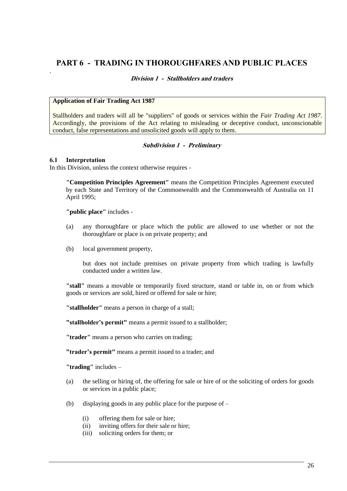# **PART 6 - TRADING IN THOROUGHFARES AND PUBLIC PLACES**

# **Division 1 - Stallholders and traders**

#### **Application of Fair Trading Act 1987**

Stallholders and traders will all be "suppliers" of goods or services within the *Fair Trading Act 1987*. Accordingly, the provisions of the Act relating to misleading or deceptive conduct, unconscionable conduct, false representations and unsolicited goods will apply to them.

#### **Subdivision 1 - Preliminary**

#### **6.1 Interpretation**

.

In this Division, unless the context otherwise requires -

**"Competition Principles Agreement"** means the Competition Principles Agreement executed by each State and Territory of the Commonwealth and the Commonwealth of Australia on 11 April 1995;

**"public place"** includes -

- (a) any thoroughfare or place which the public are allowed to use whether or not the thoroughfare or place is on private property; and
- (b) local government property,

but does not include premises on private property from which trading is lawfully conducted under a written law.

**"stall"** means a movable or temporarily fixed structure, stand or table in, on or from which goods or services are sold, hired or offered for sale or hire;

**"stallholder"** means a person in charge of a stall;

**"stallholder's permit"** means a permit issued to a stallholder;

**"trader"** means a person who carries on trading;

**"trader's permit"** means a permit issued to a trader; and

**"trading"** includes –

- (a) the selling or hiring of, the offering for sale or hire of or the soliciting of orders for goods or services in a public place;
- (b) displaying goods in any public place for the purpose of
	- (i) offering them for sale or hire;
	- (ii) inviting offers for their sale or hire;
	- (iii) soliciting orders for them; or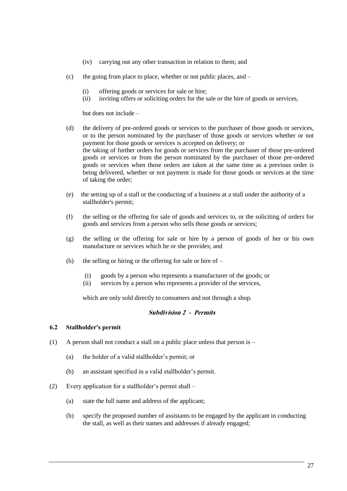- (iv) carrying out any other transaction in relation to them; and
- (c) the going from place to place, whether or not public places, and  $-$ 
	- (i) offering goods or services for sale or hire;
	- (ii) inviting offers or soliciting orders for the sale or the hire of goods or services,

but does not include –

- (d) the delivery of pre-ordered goods or services to the purchaser of those goods or services, or to the person nominated by the purchaser of those goods or services whether or not payment for those goods or services is accepted on delivery; or the taking of further orders for goods or services from the purchaser of those pre-ordered goods or services or from the person nominated by the purchaser of those pre-ordered goods or services when those orders are taken at the same time as a previous order is being delivered, whether or not payment is made for those goods or services at the time of taking the order;
- (e) the setting up of a stall or the conducting of a business at a stall under the authority of a stallholder's permit;
- (f) the selling or the offering for sale of goods and services to, or the soliciting of orders for goods and services from a person who sells those goods or services;
- (g) the selling or the offering for sale or hire by a person of goods of her or his own manufacture or services which he or she provides; and
- (h) the selling or hiring or the offering for sale or hire of  $-$ 
	- (i) goods by a person who represents a manufacturer of the goods; or
	- (ii) services by a person who represents a provider of the services,

which are only sold directly to consumers and not through a shop.

### **Subdivision 2 - Permits**

#### **6.2 Stallholder's permit**

- (1) A person shall not conduct a stall on a public place unless that person is
	- (a) the holder of a valid stallholder's permit; or
	- (b) an assistant specified in a valid stallholder's permit.
- (2) Every application for a stallholder's permit shall
	- (a) state the full name and address of the applicant;
	- (b) specify the proposed number of assistants to be engaged by the applicant in conducting the stall, as well as their names and addresses if already engaged;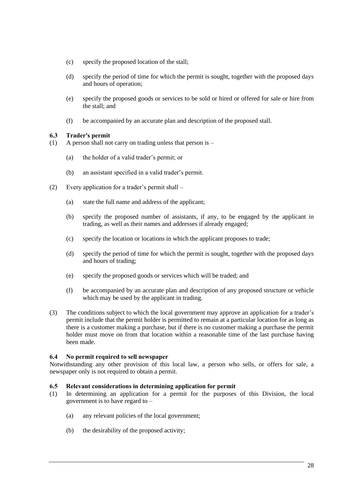- (c) specify the proposed location of the stall;
- (d) specify the period of time for which the permit is sought, together with the proposed days and hours of operation;
- (e) specify the proposed goods or services to be sold or hired or offered for sale or hire from the stall; and
- (f) be accompanied by an accurate plan and description of the proposed stall.

# **6.3 Trader's permit**

- (1) A person shall not carry on trading unless that person is
	- (a) the holder of a valid trader's permit; or
	- (b) an assistant specified in a valid trader's permit.
- (2) Every application for a trader's permit shall
	- (a) state the full name and address of the applicant;
	- (b) specify the proposed number of assistants, if any, to be engaged by the applicant in trading, as well as their names and addresses if already engaged;
	- (c) specify the location or locations in which the applicant proposes to trade;
	- (d) specify the period of time for which the permit is sought, together with the proposed days and hours of trading;
	- (e) specify the proposed goods or services which will be traded; and
	- (f) be accompanied by an accurate plan and description of any proposed structure or vehicle which may be used by the applicant in trading.
- (3) The conditions subject to which the local government may approve an application for a trader's permit include that the permit holder is permitted to remain at a particular location for as long as there is a customer making a purchase, but if there is no customer making a purchase the permit holder must move on from that location within a reasonable time of the last purchase having been made.

# **6.4 No permit required to sell newspaper**

Notwithstanding any other provision of this local law, a person who sells, or offers for sale, a newspaper only is not required to obtain a permit.

#### **6.5 Relevant considerations in determining application for permit**

- (1) In determining an application for a permit for the purposes of this Division, the local government is to have regard to –
	- (a) any relevant policies of the local government;
	- (b) the desirability of the proposed activity;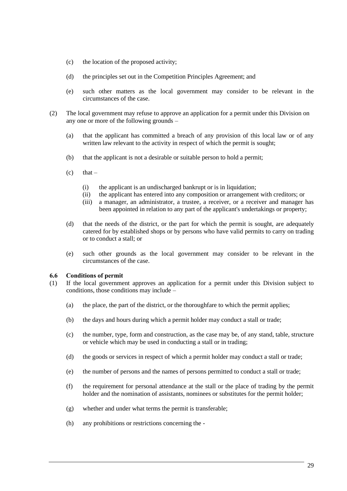- (c) the location of the proposed activity;
- (d) the principles set out in the Competition Principles Agreement; and
- (e) such other matters as the local government may consider to be relevant in the circumstances of the case.
- (2) The local government may refuse to approve an application for a permit under this Division on any one or more of the following grounds –
	- (a) that the applicant has committed a breach of any provision of this local law or of any written law relevant to the activity in respect of which the permit is sought;
	- (b) that the applicant is not a desirable or suitable person to hold a permit;
	- $(c)$  that
		- (i) the applicant is an undischarged bankrupt or is in liquidation;
		- (ii) the applicant has entered into any composition or arrangement with creditors; or
		- (iii) a manager, an administrator, a trustee, a receiver, or a receiver and manager has been appointed in relation to any part of the applicant's undertakings or property;
	- (d) that the needs of the district, or the part for which the permit is sought, are adequately catered for by established shops or by persons who have valid permits to carry on trading or to conduct a stall; or
	- (e) such other grounds as the local government may consider to be relevant in the circumstances of the case.

#### **6.6 Conditions of permit**

- (1) If the local government approves an application for a permit under this Division subject to conditions, those conditions may include –
	- (a) the place, the part of the district, or the thoroughfare to which the permit applies;
	- (b) the days and hours during which a permit holder may conduct a stall or trade;
	- (c) the number, type, form and construction, as the case may be, of any stand, table, structure or vehicle which may be used in conducting a stall or in trading;
	- (d) the goods or services in respect of which a permit holder may conduct a stall or trade;
	- (e) the number of persons and the names of persons permitted to conduct a stall or trade;
	- (f) the requirement for personal attendance at the stall or the place of trading by the permit holder and the nomination of assistants, nominees or substitutes for the permit holder;
	- (g) whether and under what terms the permit is transferable;
	- (h) any prohibitions or restrictions concerning the -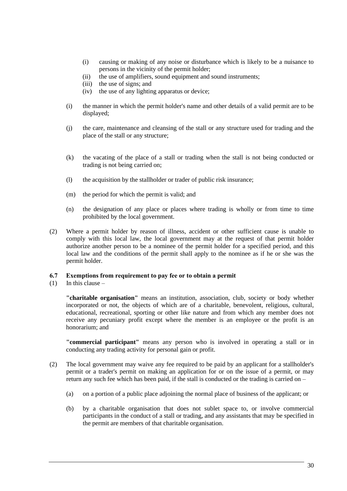- (i) causing or making of any noise or disturbance which is likely to be a nuisance to persons in the vicinity of the permit holder;
- (ii) the use of amplifiers, sound equipment and sound instruments;
- (iii) the use of signs; and
- (iv) the use of any lighting apparatus or device;
- (i) the manner in which the permit holder's name and other details of a valid permit are to be displayed;
- (j) the care, maintenance and cleansing of the stall or any structure used for trading and the place of the stall or any structure;
- (k) the vacating of the place of a stall or trading when the stall is not being conducted or trading is not being carried on;
- (l) the acquisition by the stallholder or trader of public risk insurance;
- (m) the period for which the permit is valid; and
- (n) the designation of any place or places where trading is wholly or from time to time prohibited by the local government.
- (2) Where a permit holder by reason of illness, accident or other sufficient cause is unable to comply with this local law, the local government may at the request of that permit holder authorize another person to be a nominee of the permit holder for a specified period, and this local law and the conditions of the permit shall apply to the nominee as if he or she was the permit holder.

#### **6.7 Exemptions from requirement to pay fee or to obtain a permit**

 $(1)$  In this clause –

**"charitable organisation"** means an institution, association, club, society or body whether incorporated or not, the objects of which are of a charitable, benevolent, religious, cultural, educational, recreational, sporting or other like nature and from which any member does not receive any pecuniary profit except where the member is an employee or the profit is an honorarium; and

**"commercial participant"** means any person who is involved in operating a stall or in conducting any trading activity for personal gain or profit.

- (2) The local government may waive any fee required to be paid by an applicant for a stallholder's permit or a trader's permit on making an application for or on the issue of a permit, or may return any such fee which has been paid, if the stall is conducted or the trading is carried on –
	- (a) on a portion of a public place adjoining the normal place of business of the applicant; or
	- (b) by a charitable organisation that does not sublet space to, or involve commercial participants in the conduct of a stall or trading, and any assistants that may be specified in the permit are members of that charitable organisation.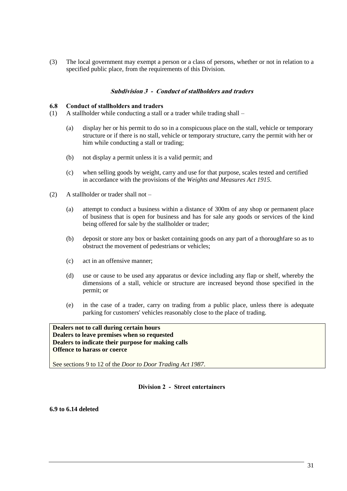(3) The local government may exempt a person or a class of persons, whether or not in relation to a specified public place, from the requirements of this Division.

# **Subdivision 3 - Conduct of stallholders and traders**

#### **6.8 Conduct of stallholders and traders**

- (1) A stallholder while conducting a stall or a trader while trading shall
	- (a) display her or his permit to do so in a conspicuous place on the stall, vehicle or temporary structure or if there is no stall, vehicle or temporary structure, carry the permit with her or him while conducting a stall or trading;
	- (b) not display a permit unless it is a valid permit; and
	- (c) when selling goods by weight, carry and use for that purpose, scales tested and certified in accordance with the provisions of the *Weights and Measures Act 1915*.
- (2) A stallholder or trader shall not
	- (a) attempt to conduct a business within a distance of 300m of any shop or permanent place of business that is open for business and has for sale any goods or services of the kind being offered for sale by the stallholder or trader;
	- (b) deposit or store any box or basket containing goods on any part of a thoroughfare so as to obstruct the movement of pedestrians or vehicles;
	- (c) act in an offensive manner;
	- (d) use or cause to be used any apparatus or device including any flap or shelf, whereby the dimensions of a stall, vehicle or structure are increased beyond those specified in the permit; or
	- (e) in the case of a trader, carry on trading from a public place, unless there is adequate parking for customers' vehicles reasonably close to the place of trading.

**Dealers not to call during certain hours Dealers to leave premises when so requested Dealers to indicate their purpose for making calls Offence to harass or coerce**

See sections 9 to 12 of the *Door to Door Trading Act 1987*.

**Division 2 - Street entertainers**

**6.9 to 6.14 deleted**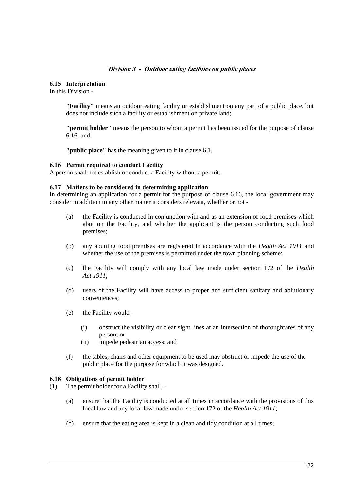#### **Division 3 - Outdoor eating facilities on public places**

#### **6.15 Interpretation**

In this Division -

**"Facility"** means an outdoor eating facility or establishment on any part of a public place, but does not include such a facility or establishment on private land;

**"permit holder"** means the person to whom a permit has been issued for the purpose of clause 6.16; and

**"public place"** has the meaning given to it in clause 6.1.

#### **6.16 Permit required to conduct Facility**

A person shall not establish or conduct a Facility without a permit.

#### **6.17 Matters to be considered in determining application**

In determining an application for a permit for the purpose of clause 6.16, the local government may consider in addition to any other matter it considers relevant, whether or not -

- (a) the Facility is conducted in conjunction with and as an extension of food premises which abut on the Facility, and whether the applicant is the person conducting such food premises;
- (b) any abutting food premises are registered in accordance with the *Health Act 1911* and whether the use of the premises is permitted under the town planning scheme;
- (c) the Facility will comply with any local law made under section 172 of the *Health Act 1911*;
- (d) users of the Facility will have access to proper and sufficient sanitary and ablutionary conveniences;
- (e) the Facility would
	- (i) obstruct the visibility or clear sight lines at an intersection of thoroughfares of any person; or
	- (ii) impede pedestrian access; and
- (f) the tables, chairs and other equipment to be used may obstruct or impede the use of the public place for the purpose for which it was designed.

#### **6.18 Obligations of permit holder**

- (1) The permit holder for a Facility shall
	- (a) ensure that the Facility is conducted at all times in accordance with the provisions of this local law and any local law made under section 172 of the *Health Act 1911*;
	- (b) ensure that the eating area is kept in a clean and tidy condition at all times;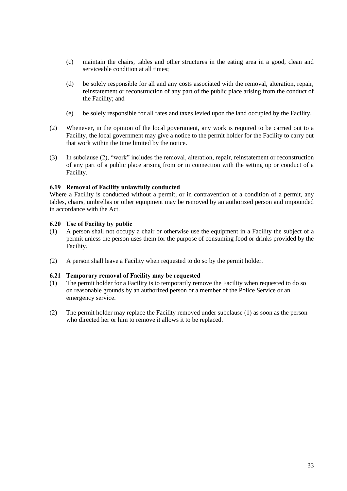- (c) maintain the chairs, tables and other structures in the eating area in a good, clean and serviceable condition at all times;
- (d) be solely responsible for all and any costs associated with the removal, alteration, repair, reinstatement or reconstruction of any part of the public place arising from the conduct of the Facility; and
- (e) be solely responsible for all rates and taxes levied upon the land occupied by the Facility.
- (2) Whenever, in the opinion of the local government, any work is required to be carried out to a Facility, the local government may give a notice to the permit holder for the Facility to carry out that work within the time limited by the notice.
- (3) In subclause (2), "work" includes the removal, alteration, repair, reinstatement or reconstruction of any part of a public place arising from or in connection with the setting up or conduct of a Facility.

# **6.19 Removal of Facility unlawfully conducted**

Where a Facility is conducted without a permit, or in contravention of a condition of a permit, any tables, chairs, umbrellas or other equipment may be removed by an authorized person and impounded in accordance with the Act.

# **6.20 Use of Facility by public**

- (1) A person shall not occupy a chair or otherwise use the equipment in a Facility the subject of a permit unless the person uses them for the purpose of consuming food or drinks provided by the Facility.
- (2) A person shall leave a Facility when requested to do so by the permit holder.

#### **6.21 Temporary removal of Facility may be requested**

- (1) The permit holder for a Facility is to temporarily remove the Facility when requested to do so on reasonable grounds by an authorized person or a member of the Police Service or an emergency service.
- (2) The permit holder may replace the Facility removed under subclause (1) as soon as the person who directed her or him to remove it allows it to be replaced.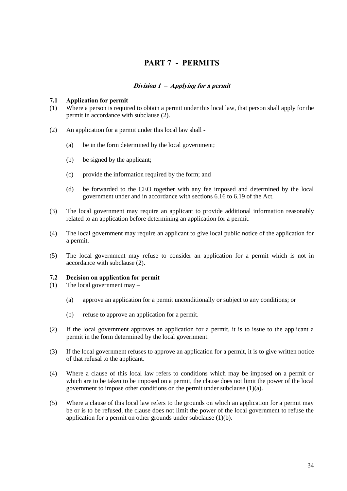# **PART 7 - PERMITS**

# **Division 1 – Applying for a permit**

# **7.1 Application for permit**

- (1) Where a person is required to obtain a permit under this local law, that person shall apply for the permit in accordance with subclause (2).
- (2) An application for a permit under this local law shall
	- (a) be in the form determined by the local government;
	- (b) be signed by the applicant;
	- (c) provide the information required by the form; and
	- (d) be forwarded to the CEO together with any fee imposed and determined by the local government under and in accordance with sections 6.16 to 6.19 of the Act.
- (3) The local government may require an applicant to provide additional information reasonably related to an application before determining an application for a permit.
- (4) The local government may require an applicant to give local public notice of the application for a permit.
- (5) The local government may refuse to consider an application for a permit which is not in accordance with subclause (2).

#### **7.2 Decision on application for permit**

- (1) The local government may
	- (a) approve an application for a permit unconditionally or subject to any conditions; or
	- (b) refuse to approve an application for a permit.
- (2) If the local government approves an application for a permit, it is to issue to the applicant a permit in the form determined by the local government.
- (3) If the local government refuses to approve an application for a permit, it is to give written notice of that refusal to the applicant.
- (4) Where a clause of this local law refers to conditions which may be imposed on a permit or which are to be taken to be imposed on a permit, the clause does not limit the power of the local government to impose other conditions on the permit under subclause (1)(a).
- (5) Where a clause of this local law refers to the grounds on which an application for a permit may be or is to be refused, the clause does not limit the power of the local government to refuse the application for a permit on other grounds under subclause (1)(b).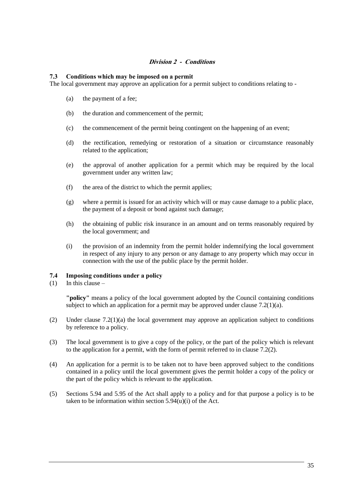# **Division 2 - Conditions**

# **7.3 Conditions which may be imposed on a permit**

The local government may approve an application for a permit subject to conditions relating to -

- (a) the payment of a fee;
- (b) the duration and commencement of the permit;
- (c) the commencement of the permit being contingent on the happening of an event;
- (d) the rectification, remedying or restoration of a situation or circumstance reasonably related to the application;
- (e) the approval of another application for a permit which may be required by the local government under any written law;
- (f) the area of the district to which the permit applies;
- (g) where a permit is issued for an activity which will or may cause damage to a public place, the payment of a deposit or bond against such damage;
- (h) the obtaining of public risk insurance in an amount and on terms reasonably required by the local government; and
- (i) the provision of an indemnity from the permit holder indemnifying the local government in respect of any injury to any person or any damage to any property which may occur in connection with the use of the public place by the permit holder.

# **7.4 Imposing conditions under a policy**

(1) In this clause  $-$ 

**"policy"** means a policy of the local government adopted by the Council containing conditions subject to which an application for a permit may be approved under clause  $7.2(1)(a)$ .

- (2) Under clause 7.2(1)(a) the local government may approve an application subject to conditions by reference to a policy.
- (3) The local government is to give a copy of the policy, or the part of the policy which is relevant to the application for a permit, with the form of permit referred to in clause 7.2(2).
- (4) An application for a permit is to be taken not to have been approved subject to the conditions contained in a policy until the local government gives the permit holder a copy of the policy or the part of the policy which is relevant to the application.
- (5) Sections 5.94 and 5.95 of the Act shall apply to a policy and for that purpose a policy is to be taken to be information within section  $5.94(u)(i)$  of the Act.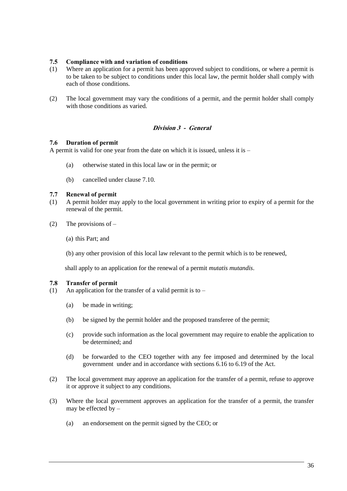# **7.5 Compliance with and variation of conditions**

- (1) Where an application for a permit has been approved subject to conditions, or where a permit is to be taken to be subject to conditions under this local law, the permit holder shall comply with each of those conditions.
- (2) The local government may vary the conditions of a permit, and the permit holder shall comply with those conditions as varied.

# **Division 3 - General**

#### **7.6 Duration of permit**

A permit is valid for one year from the date on which it is issued, unless it is –

- (a) otherwise stated in this local law or in the permit; or
- (b) cancelled under clause 7.10.

#### **7.7 Renewal of permit**

- (1) A permit holder may apply to the local government in writing prior to expiry of a permit for the renewal of the permit.
- (2) The provisions of  $-$

(a) this Part; and

(b) any other provision of this local law relevant to the permit which is to be renewed,

shall apply to an application for the renewal of a permit *mutatis mutandis*.

#### **7.8 Transfer of permit**

- (1) An application for the transfer of a valid permit is to  $-$ 
	- (a) be made in writing;
	- (b) be signed by the permit holder and the proposed transferee of the permit;
	- (c) provide such information as the local government may require to enable the application to be determined; and
	- (d) be forwarded to the CEO together with any fee imposed and determined by the local government under and in accordance with sections 6.16 to 6.19 of the Act.
- (2) The local government may approve an application for the transfer of a permit, refuse to approve it or approve it subject to any conditions.
- (3) Where the local government approves an application for the transfer of a permit, the transfer may be effected by –
	- (a) an endorsement on the permit signed by the CEO; or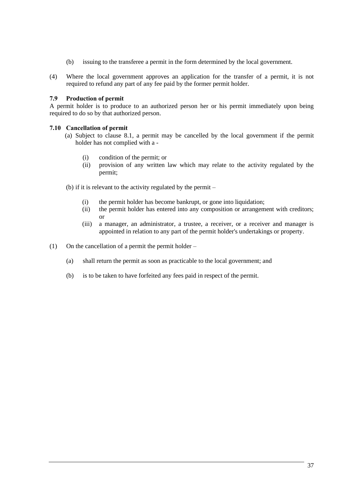- (b) issuing to the transferee a permit in the form determined by the local government.
- (4) Where the local government approves an application for the transfer of a permit, it is not required to refund any part of any fee paid by the former permit holder.

# **7.9 Production of permit**

A permit holder is to produce to an authorized person her or his permit immediately upon being required to do so by that authorized person.

# **7.10 Cancellation of permit**

- (a) Subject to clause 8.1, a permit may be cancelled by the local government if the permit holder has not complied with a -
	- (i) condition of the permit; or
	- (ii) provision of any written law which may relate to the activity regulated by the permit;
- (b) if it is relevant to the activity regulated by the permit
	- (i) the permit holder has become bankrupt, or gone into liquidation;
	- (ii) the permit holder has entered into any composition or arrangement with creditors; or
	- (iii) a manager, an administrator, a trustee, a receiver, or a receiver and manager is appointed in relation to any part of the permit holder's undertakings or property.
- (1) On the cancellation of a permit the permit holder
	- (a) shall return the permit as soon as practicable to the local government; and
	- (b) is to be taken to have forfeited any fees paid in respect of the permit.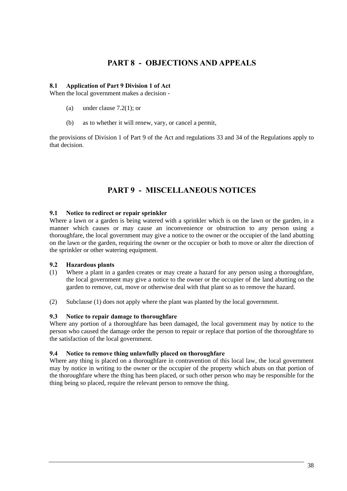# **PART 8 - OBJECTIONS AND APPEALS**

#### **8.1 Application of Part 9 Division 1 of Act**

When the local government makes a decision -

- (a) under clause 7.2(1); or
- (b) as to whether it will renew, vary, or cancel a permit,

the provisions of Division 1 of Part 9 of the Act and regulations 33 and 34 of the Regulations apply to that decision.

# **PART 9 - MISCELLANEOUS NOTICES**

# **9.1 Notice to redirect or repair sprinkler**

Where a lawn or a garden is being watered with a sprinkler which is on the lawn or the garden, in a manner which causes or may cause an inconvenience or obstruction to any person using a thoroughfare, the local government may give a notice to the owner or the occupier of the land abutting on the lawn or the garden, requiring the owner or the occupier or both to move or alter the direction of the sprinkler or other watering equipment.

# **9.2 Hazardous plants**

- (1) Where a plant in a garden creates or may create a hazard for any person using a thoroughfare, the local government may give a notice to the owner or the occupier of the land abutting on the garden to remove, cut, move or otherwise deal with that plant so as to remove the hazard.
- (2) Subclause (1) does not apply where the plant was planted by the local government.

# **9.3 Notice to repair damage to thoroughfare**

Where any portion of a thoroughfare has been damaged, the local government may by notice to the person who caused the damage order the person to repair or replace that portion of the thoroughfare to the satisfaction of the local government.

#### **9.4 Notice to remove thing unlawfully placed on thoroughfare**

Where any thing is placed on a thoroughfare in contravention of this local law, the local government may by notice in writing to the owner or the occupier of the property which abuts on that portion of the thoroughfare where the thing has been placed, or such other person who may be responsible for the thing being so placed, require the relevant person to remove the thing.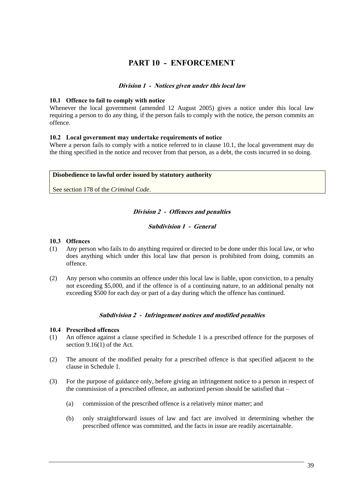# **PART 10 - ENFORCEMENT**

#### **Division 1 - Notices given under this local law**

#### **10.1 Offence to fail to comply with notice**

Whenever the local government (amended 12 August 2005) gives a notice under this local law requiring a person to do any thing, if the person fails to comply with the notice, the person commits an offence.

#### **10.2 Local government may undertake requirements of notice**

Where a person fails to comply with a notice referred to in clause 10.1, the local government may do the thing specified in the notice and recover from that person, as a debt, the costs incurred in so doing.

#### **Disobedience to lawful order issued by statutory authority**

See section 178 of the *Criminal Code*.

#### **Division 2 - Offences and penalties**

#### **Subdivision 1 - General**

#### **10.3 Offences**

- (1) Any person who fails to do anything required or directed to be done under this local law, or who does anything which under this local law that person is prohibited from doing, commits an offence.
- (2) Any person who commits an offence under this local law is liable, upon conviction, to a penalty not exceeding \$5,000, and if the offence is of a continuing nature, to an additional penalty not exceeding \$500 for each day or part of a day during which the offence has continued.

#### **Subdivision 2 - Infringement notices and modified penalties**

#### **10.4 Prescribed offences**

- (1) An offence against a clause specified in Schedule 1 is a prescribed offence for the purposes of section 9.16(1) of the Act.
- (2) The amount of the modified penalty for a prescribed offence is that specified adjacent to the clause in Schedule 1.
- (3) For the purpose of guidance only, before giving an infringement notice to a person in respect of the commission of a prescribed offence, an authorized person should be satisfied that –
	- (a) commission of the prescribed offence is a relatively minor matter; and
	- (b) only straightforward issues of law and fact are involved in determining whether the prescribed offence was committed, and the facts in issue are readily ascertainable.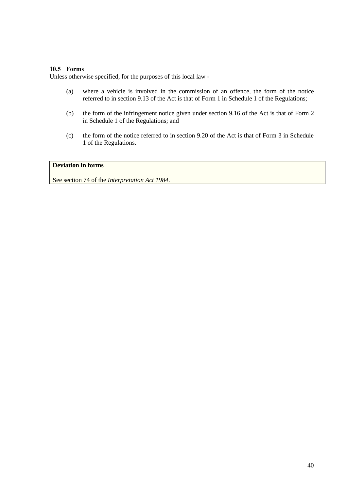# **10.5 Forms**

Unless otherwise specified, for the purposes of this local law -

- (a) where a vehicle is involved in the commission of an offence, the form of the notice referred to in section 9.13 of the Act is that of Form 1 in Schedule 1 of the Regulations;
- (b) the form of the infringement notice given under section 9.16 of the Act is that of Form 2 in Schedule 1 of the Regulations; and
- (c) the form of the notice referred to in section 9.20 of the Act is that of Form 3 in Schedule 1 of the Regulations.

# **Deviation in forms**

See section 74 of the *Interpretation Act 1984*.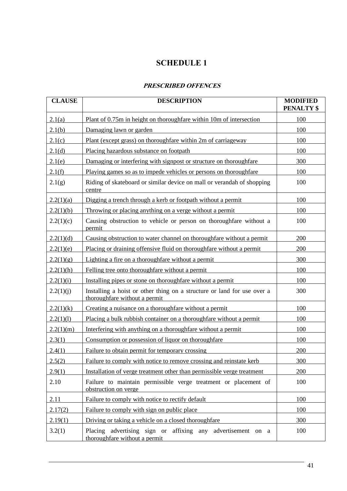# **SCHEDULE 1**

# **PRESCRIBED OFFENCES**

| <b>CLAUSE</b> | <b>DESCRIPTION</b>                                                                                       | <b>MODIFIED</b><br><b>PENALTY \$</b> |
|---------------|----------------------------------------------------------------------------------------------------------|--------------------------------------|
| 2.1(a)        | Plant of 0.75m in height on thoroughfare within 10m of intersection                                      | 100                                  |
| 2.1(b)        | Damaging lawn or garden                                                                                  | 100                                  |
| 2.1(c)        | Plant (except grass) on thoroughfare within 2m of carriageway                                            | 100                                  |
| 2.1(d)        | Placing hazardous substance on footpath                                                                  | 100                                  |
| 2.1(e)        | Damaging or interfering with signpost or structure on thoroughfare                                       | 300                                  |
| 2.1(f)        | Playing games so as to impede vehicles or persons on thoroughfare                                        | 100                                  |
| 2.1(g)        | Riding of skateboard or similar device on mall or verandah of shopping<br>centre                         | 100                                  |
| 2.2(1)(a)     | Digging a trench through a kerb or footpath without a permit                                             | 100                                  |
| 2.2(1)(b)     | Throwing or placing anything on a verge without a permit                                                 | 100                                  |
| 2.2(1)(c)     | Causing obstruction to vehicle or person on thoroughfare without a<br>permit                             | 100                                  |
| 2.2(1)(d)     | Causing obstruction to water channel on thoroughfare without a permit                                    | 200                                  |
| 2.2(1)(e)     | Placing or draining offensive fluid on thoroughfare without a permit                                     | 200                                  |
| 2.2(1)(g)     | Lighting a fire on a thoroughfare without a permit                                                       | 300                                  |
| 2.2(1)(h)     | Felling tree onto thoroughfare without a permit                                                          | 100                                  |
| 2.2(1)(i)     | Installing pipes or stone on thoroughfare without a permit                                               | 100                                  |
| 2.2(1)(j)     | Installing a hoist or other thing on a structure or land for use over a<br>thoroughfare without a permit | 300                                  |
| 2.2(1)(k)     | Creating a nuisance on a thoroughfare without a permit                                                   | 100                                  |
| 2.2(1)(1)     | Placing a bulk rubbish container on a thoroughfare without a permit                                      | 100                                  |
| 2.2(1)(m)     | Interfering with anything on a thoroughfare without a permit                                             | 100                                  |
| 2.3(1)        | Consumption or possession of liquor on thoroughfare                                                      | 100                                  |
| 2.4(1)        | Failure to obtain permit for temporary crossing                                                          | 200                                  |
| 2.5(2)        | Failure to comply with notice to remove crossing and reinstate kerb                                      | 300                                  |
| 2.9(1)        | Installation of verge treatment other than permissible verge treatment                                   | 200                                  |
| 2.10          | Failure to maintain permissible verge treatment or placement of<br>obstruction on verge                  | 100                                  |
| 2.11          | Failure to comply with notice to rectify default                                                         | 100                                  |
| 2.17(2)       | Failure to comply with sign on public place                                                              | 100                                  |
| 2.19(1)       | Driving or taking a vehicle on a closed thoroughfare                                                     | 300                                  |
| 3.2(1)        | Placing advertising sign or affixing any advertisement<br>on a<br>thoroughfare without a permit          | 100                                  |